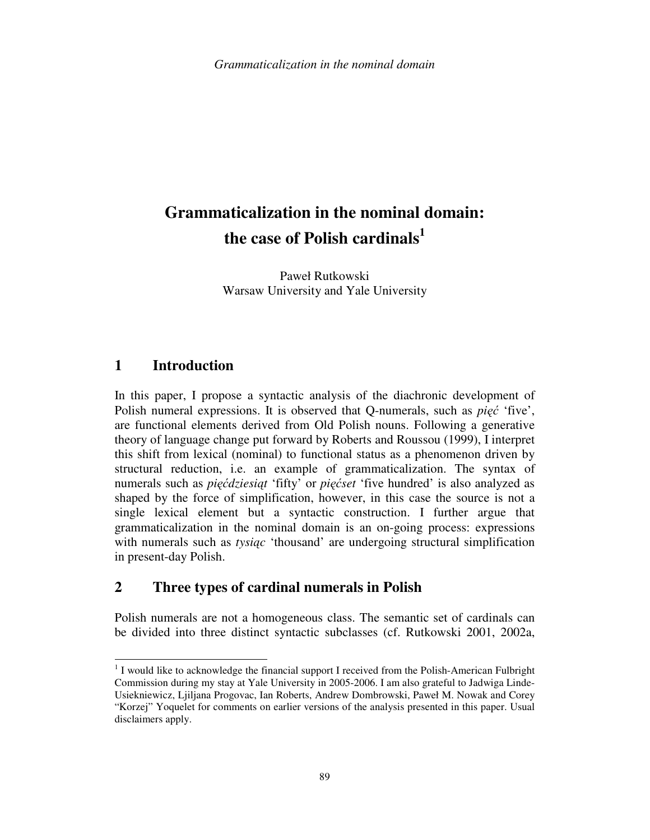# **Grammaticalization in the nominal domain: the case of Polish cardinals<sup>1</sup>**

Paweł Rutkowski Warsaw University and Yale University

# **1 Introduction**

l

In this paper, I propose a syntactic analysis of the diachronic development of Polish numeral expressions. It is observed that Q-numerals, such as *pi*ęć 'five', are functional elements derived from Old Polish nouns. Following a generative theory of language change put forward by Roberts and Roussou (1999), I interpret this shift from lexical (nominal) to functional status as a phenomenon driven by structural reduction, i.e. an example of grammaticalization. The syntax of numerals such as *pi*ęć*dziesi*ą*t* 'fifty' or *pi*ęć*set* 'five hundred' is also analyzed as shaped by the force of simplification, however, in this case the source is not a single lexical element but a syntactic construction. I further argue that grammaticalization in the nominal domain is an on-going process: expressions with numerals such as *tysi*ą*c* 'thousand' are undergoing structural simplification in present-day Polish.

# **2 Three types of cardinal numerals in Polish**

Polish numerals are not a homogeneous class. The semantic set of cardinals can be divided into three distinct syntactic subclasses (cf. Rutkowski 2001, 2002a,

 $1$  I would like to acknowledge the financial support I received from the Polish-American Fulbright Commission during my stay at Yale University in 2005-2006. I am also grateful to Jadwiga Linde-Usiekniewicz, Ljiljana Progovac, Ian Roberts, Andrew Dombrowski, Paweł M. Nowak and Corey "Korzej" Yoquelet for comments on earlier versions of the analysis presented in this paper. Usual disclaimers apply.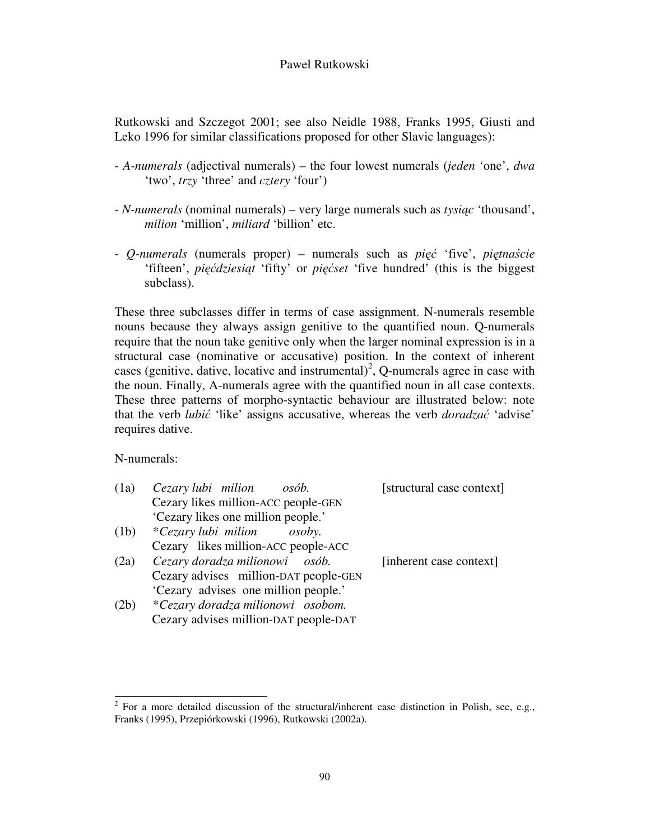Rutkowski and Szczegot 2001; see also Neidle 1988, Franks 1995, Giusti and Leko 1996 for similar classifications proposed for other Slavic languages):

- *A-numerals* (adjectival numerals) the four lowest numerals (*jeden* 'one', *dwa*  'two', *trzy* 'three' and *cztery* 'four')
- - *N-numerals* (nominal numerals) very large numerals such as *tysi*ą*c* 'thousand', *milion* 'million', *miliard* 'billion' etc.
- *Q-numerals* (numerals proper) numerals such as *pi*ęć 'five', *pi*ę*tna*ś*cie* 'fifteen', *pi*ęć*dziesi*ą*t* 'fifty' or *pi*ęć*set* 'five hundred' (this is the biggest subclass).

These three subclasses differ in terms of case assignment. N-numerals resemble nouns because they always assign genitive to the quantified noun. Q-numerals require that the noun take genitive only when the larger nominal expression is in a structural case (nominative or accusative) position. In the context of inherent cases (genitive, dative, locative and instrumental)<sup>2</sup>, Q-numerals agree in case with the noun. Finally, A-numerals agree with the quantified noun in all case contexts. These three patterns of morpho-syntactic behaviour are illustrated below: note that the verb *lubi*ć 'like' assigns accusative, whereas the verb *doradza*ć 'advise' requires dative.

N-numerals:

| (1a) | Cezary lubi milion<br>osób.           | [structural case context] |
|------|---------------------------------------|---------------------------|
|      | Cezary likes million-ACC people-GEN   |                           |
|      | 'Cezary likes one million people.'    |                           |
| (1b) | *Cezary lubi milion<br><i>osoby.</i>  |                           |
|      | Cezary likes million-ACC people-ACC   |                           |
| (2a) | Cezary doradza milionowi osób.        | [inherent case context]   |
|      | Cezary advises million-DAT people-GEN |                           |
|      | 'Cezary advises one million people.'  |                           |
| (2b) | *Cezary doradza milionowi osobom.     |                           |
|      | Cezary advises million-DAT people-DAT |                           |

<sup>&</sup>lt;sup>2</sup> For a more detailed discussion of the structural/inherent case distinction in Polish, see, e.g., Franks (1995), Przepiórkowski (1996), Rutkowski (2002a).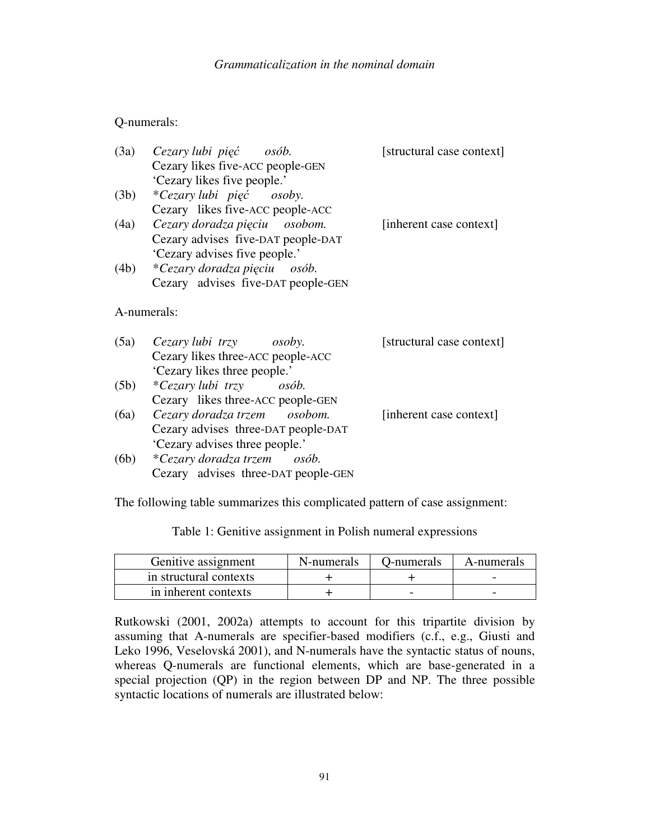### *Grammaticalization in the nominal domain*

### Q-numerals:

|      | (3a) Cezary lubi pięć osób.         | [structural case context] |  |
|------|-------------------------------------|---------------------------|--|
|      | Cezary likes five-ACC people-GEN    |                           |  |
|      | 'Cezary likes five people.'         |                           |  |
| (3b) | *Cezary lubi pięć osoby.            |                           |  |
|      | Cezary likes five-ACC people-ACC    |                           |  |
| (4a) | Cezary doradza pięciu osobom.       | [inherent case context]   |  |
|      | Cezary advises five-DAT people-DAT  |                           |  |
|      | 'Cezary advises five people.'       |                           |  |
| (4b) | *Cezary doradza pięciu osób.        |                           |  |
|      | Cezary advises five-DAT people-GEN  |                           |  |
|      |                                     |                           |  |
|      | A-numerals:                         |                           |  |
|      |                                     |                           |  |
|      | $(5a)$ Cezary lubi trzy osoby.      | [structural case context] |  |
|      | Cezary likes three-ACC people-ACC   |                           |  |
|      | 'Cezary likes three people.'        |                           |  |
| (5b) | *Cezary lubi trzy osób.             |                           |  |
|      | Cezary likes three-ACC people-GEN   |                           |  |
| (6a) | Cezary doradza trzem osobom.        | [inherent case context]   |  |
|      | Cezary advises three-DAT people-DAT |                           |  |
|      | 'Cezary advises three people.'      |                           |  |
| (6b) | *Cezary doradza trzem osób.         |                           |  |
|      | Cezary advises three-DAT people-GEN |                           |  |

The following table summarizes this complicated pattern of case assignment:

Table 1: Genitive assignment in Polish numeral expressions

| Genitive assignment    | N-numerals | D-numerals | A-numerals |
|------------------------|------------|------------|------------|
| in structural contexts |            |            |            |
| in inherent contexts   |            |            |            |

Rutkowski (2001, 2002a) attempts to account for this tripartite division by assuming that A-numerals are specifier-based modifiers (c.f., e.g., Giusti and Leko 1996, Veselovská 2001), and N-numerals have the syntactic status of nouns, whereas Q-numerals are functional elements, which are base-generated in a special projection (QP) in the region between DP and NP. The three possible syntactic locations of numerals are illustrated below: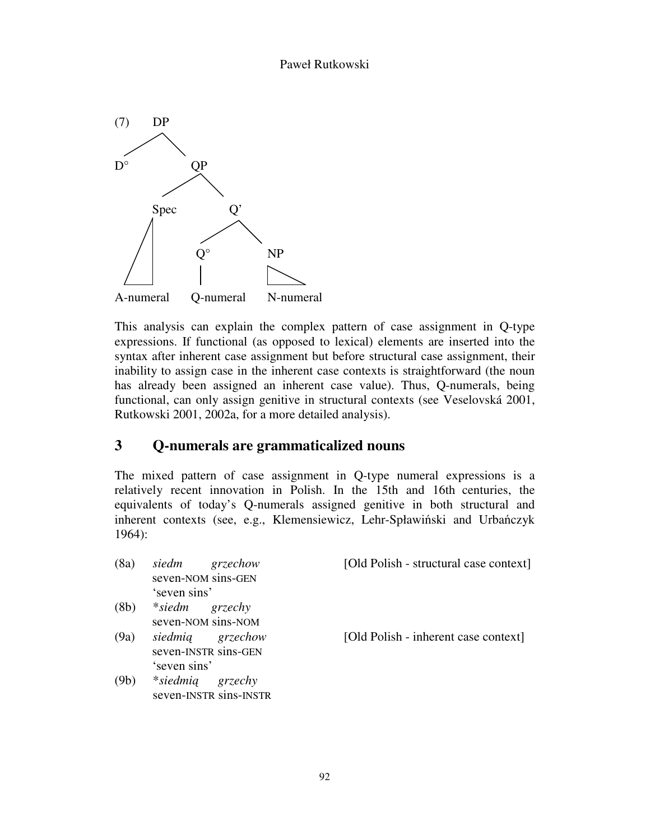

This analysis can explain the complex pattern of case assignment in Q-type expressions. If functional (as opposed to lexical) elements are inserted into the syntax after inherent case assignment but before structural case assignment, their inability to assign case in the inherent case contexts is straightforward (the noun has already been assigned an inherent case value). Thus, Q-numerals, being functional, can only assign genitive in structural contexts (see Veselovská 2001, Rutkowski 2001, 2002a, for a more detailed analysis).

# **3 Q-numerals are grammaticalized nouns**

The mixed pattern of case assignment in Q-type numeral expressions is a relatively recent innovation in Polish. In the 15th and 16th centuries, the equivalents of today's Q-numerals assigned genitive in both structural and inherent contexts (see, e.g., Klemensiewicz, Lehr-Spławiński and Urbańczyk 1964):

| (8a) | siedm          | grzechow               | [Old Polish - structural case context] |
|------|----------------|------------------------|----------------------------------------|
|      |                | seven-NOM sins-GEN     |                                        |
|      | 'seven sins'   |                        |                                        |
| (8b) | *siedm grzechy |                        |                                        |
|      |                | seven-NOM sins-NOM     |                                        |
| (9a) |                | siedmią grzechow       | [Old Polish - inherent case context]   |
|      |                | seven-INSTR sins-GEN   |                                        |
|      | 'seven sins'   |                        |                                        |
| (9b) | $*$ siedmią    | grzechy                |                                        |
|      |                | seven-INSTR sins-INSTR |                                        |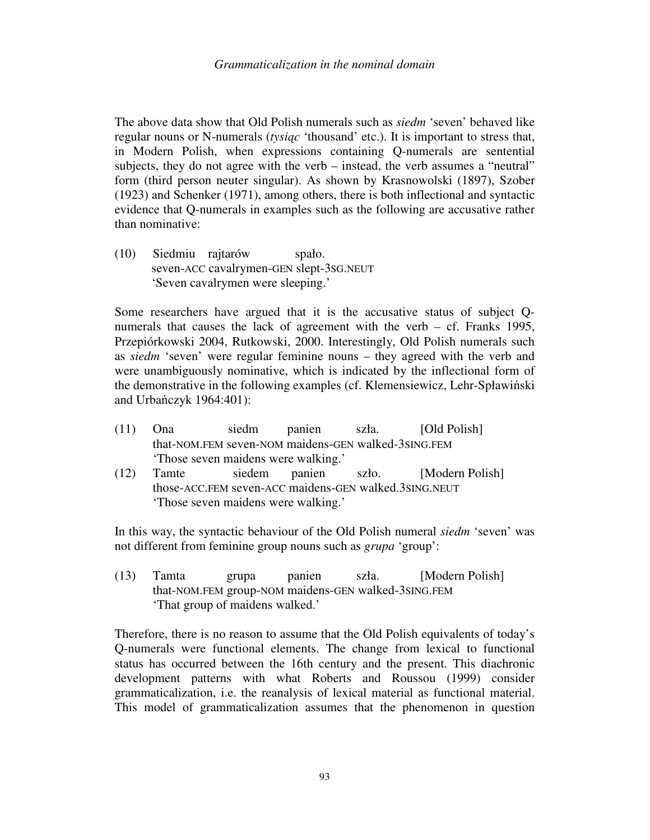The above data show that Old Polish numerals such as *siedm* 'seven' behaved like regular nouns or N-numerals (*tysi*ą*c* 'thousand' etc.). It is important to stress that, in Modern Polish, when expressions containing Q-numerals are sentential subjects, they do not agree with the verb – instead, the verb assumes a "neutral" form (third person neuter singular). As shown by Krasnowolski (1897), Szober (1923) and Schenker (1971), among others, there is both inflectional and syntactic evidence that Q-numerals in examples such as the following are accusative rather than nominative:

(10) Siedmiu rajtarów spało. seven-ACC cavalrymen-GEN slept-3SG.NEUT 'Seven cavalrymen were sleeping.'

Some researchers have argued that it is the accusative status of subject Qnumerals that causes the lack of agreement with the verb – cf. Franks 1995, Przepiórkowski 2004, Rutkowski, 2000. Interestingly, Old Polish numerals such as *siedm* 'seven' were regular feminine nouns – they agreed with the verb and were unambiguously nominative, which is indicated by the inflectional form of the demonstrative in the following examples (cf. Klemensiewicz, Lehr-Spławiński and Urbańczyk 1964:401):

- (11) Ona siedm panien szła. [Old Polish] that-NOM.FEM seven-NOM maidens-GEN walked-3SING.FEM 'Those seven maidens were walking.'
- (12) Tamte siedem panien szło. [Modern Polish] those-ACC.FEM seven-ACC maidens-GEN walked.3SING.NEUT 'Those seven maidens were walking.'

In this way, the syntactic behaviour of the Old Polish numeral *siedm* 'seven' was not different from feminine group nouns such as *grupa* 'group':

(13) Tamta grupa panien szła. [Modern Polish] that-NOM.FEM group-NOM maidens-GEN walked-3SING.FEM 'That group of maidens walked.'

Therefore, there is no reason to assume that the Old Polish equivalents of today's Q-numerals were functional elements. The change from lexical to functional status has occurred between the 16th century and the present. This diachronic development patterns with what Roberts and Roussou (1999) consider grammaticalization, i.e. the reanalysis of lexical material as functional material. This model of grammaticalization assumes that the phenomenon in question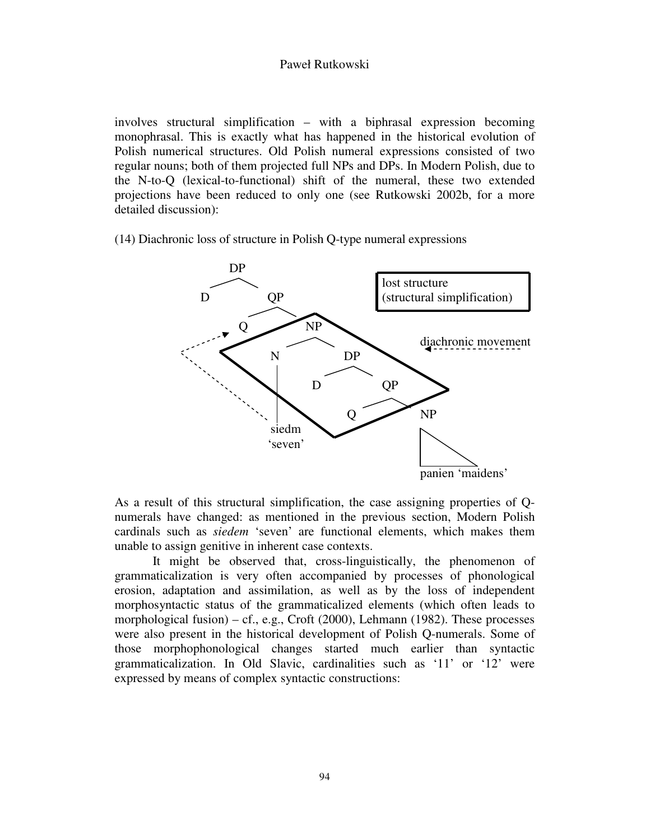involves structural simplification – with a biphrasal expression becoming monophrasal. This is exactly what has happened in the historical evolution of Polish numerical structures. Old Polish numeral expressions consisted of two regular nouns; both of them projected full NPs and DPs. In Modern Polish, due to the N-to-Q (lexical-to-functional) shift of the numeral, these two extended projections have been reduced to only one (see Rutkowski 2002b, for a more detailed discussion):

(14) Diachronic loss of structure in Polish Q-type numeral expressions



As a result of this structural simplification, the case assigning properties of Qnumerals have changed: as mentioned in the previous section, Modern Polish cardinals such as *siedem* 'seven' are functional elements, which makes them unable to assign genitive in inherent case contexts.

It might be observed that, cross-linguistically, the phenomenon of grammaticalization is very often accompanied by processes of phonological erosion, adaptation and assimilation, as well as by the loss of independent morphosyntactic status of the grammaticalized elements (which often leads to morphological fusion) – cf., e.g., Croft  $(2000)$ , Lehmann  $(1982)$ . These processes were also present in the historical development of Polish Q-numerals. Some of those morphophonological changes started much earlier than syntactic grammaticalization. In Old Slavic, cardinalities such as '11' or '12' were expressed by means of complex syntactic constructions: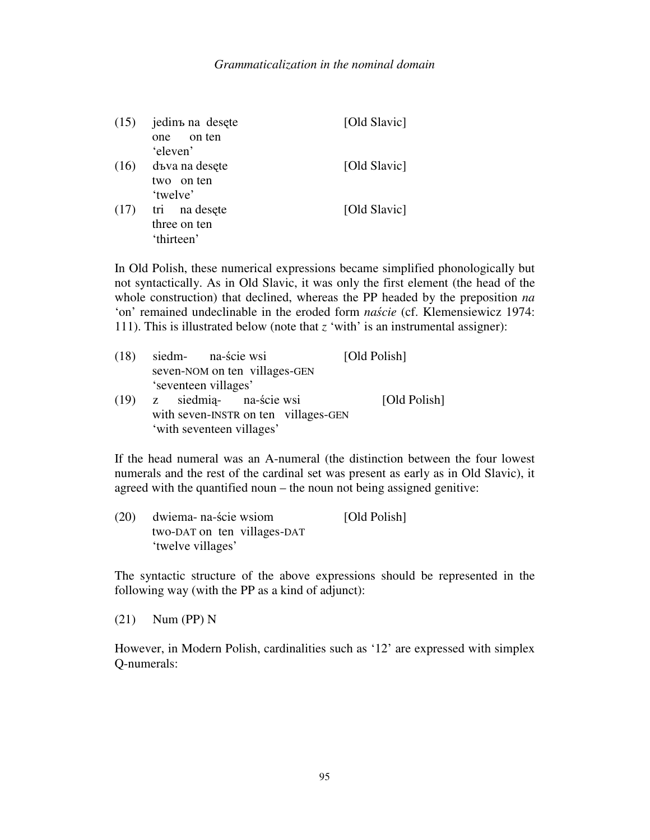| (15) | jedinъ na desete | [Old Slavic] |
|------|------------------|--------------|
|      | on ten<br>one    |              |
|      | 'eleven'         |              |
| (16) | dъva na desete   | [Old Slavic] |
|      | two on ten       |              |
|      | 'twelve'         |              |
| (17) | tri na desete    | [Old Slavic] |
|      | three on ten     |              |
|      | 'thirteen'       |              |

In Old Polish, these numerical expressions became simplified phonologically but not syntactically. As in Old Slavic, it was only the first element (the head of the whole construction) that declined, whereas the PP headed by the preposition *na* 'on' remained undeclinable in the eroded form *na*ś*cie* (cf. Klemensiewicz 1974: 111). This is illustrated below (note that *z* 'with' is an instrumental assigner):

| (18) | siedm- na-ście wsi                   | [Old Polish] |
|------|--------------------------------------|--------------|
|      | seven-NOM on ten villages-GEN        |              |
|      | 'seventeen villages'                 |              |
|      | (19) z siedmią- na-ście wsi          | [Old Polish] |
|      | with seven-INSTR on ten villages-GEN |              |
|      | 'with seventeen villages'            |              |

If the head numeral was an A-numeral (the distinction between the four lowest numerals and the rest of the cardinal set was present as early as in Old Slavic), it agreed with the quantified noun – the noun not being assigned genitive:

| (20) | dwiema- na-ście wsiom       | [Old Polish] |
|------|-----------------------------|--------------|
|      | two-DAT on ten villages-DAT |              |
|      | 'twelve villages'           |              |

The syntactic structure of the above expressions should be represented in the following way (with the PP as a kind of adjunct):

(21) Num (PP) N

However, in Modern Polish, cardinalities such as '12' are expressed with simplex Q-numerals: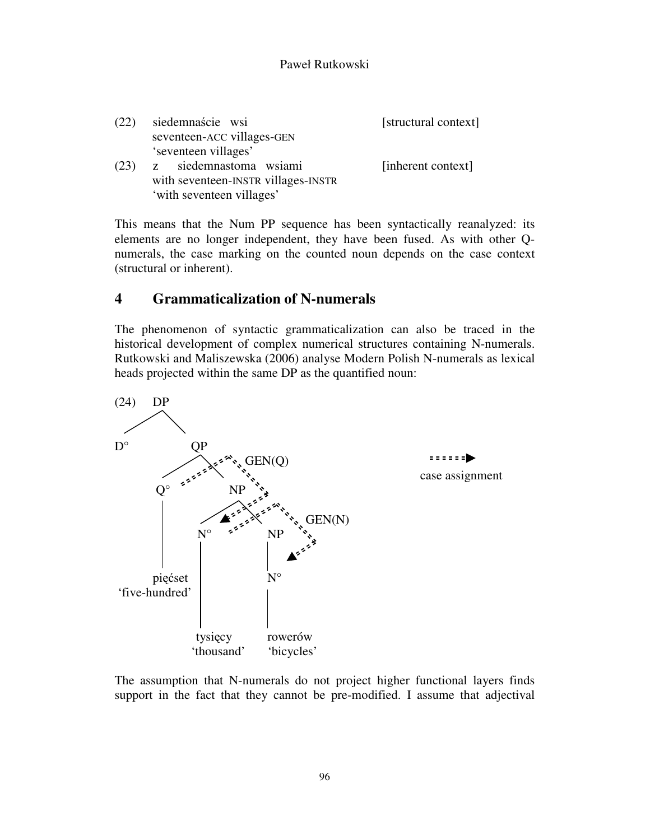| (22) | siedemnaście wsi                    | [structural context] |
|------|-------------------------------------|----------------------|
|      | seventeen-ACC villages-GEN          |                      |
|      | 'seventeen villages'                |                      |
| (23) | siedemnastoma wsiami<br>Z.          | [inherent context]   |
|      | with seventeen-INSTR villages-INSTR |                      |
|      | 'with seventeen villages'           |                      |

This means that the Num PP sequence has been syntactically reanalyzed: its elements are no longer independent, they have been fused. As with other Qnumerals, the case marking on the counted noun depends on the case context (structural or inherent).

# **4 Grammaticalization of N-numerals**

The phenomenon of syntactic grammaticalization can also be traced in the historical development of complex numerical structures containing N-numerals. Rutkowski and Maliszewska (2006) analyse Modern Polish N-numerals as lexical heads projected within the same DP as the quantified noun:



The assumption that N-numerals do not project higher functional layers finds support in the fact that they cannot be pre-modified. I assume that adjectival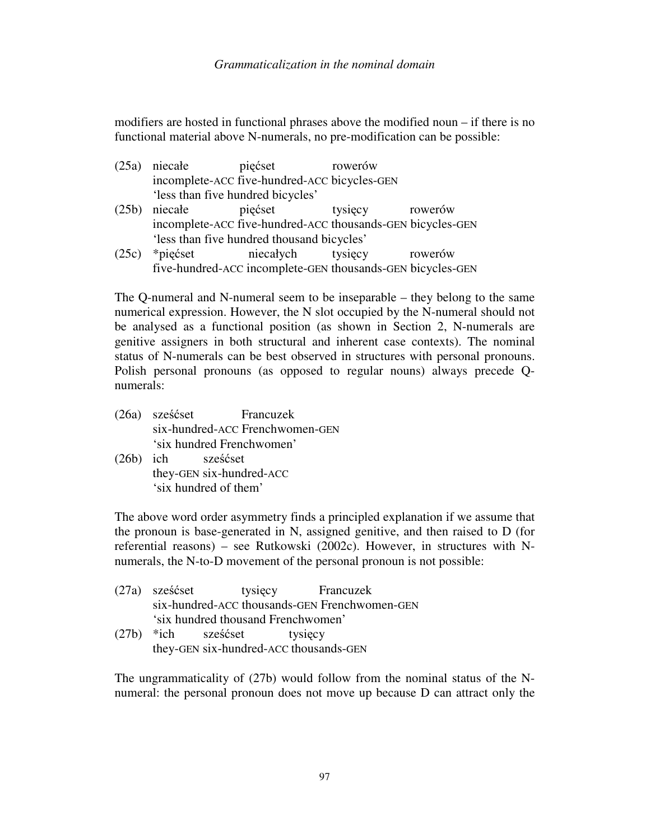modifiers are hosted in functional phrases above the modified noun – if there is no functional material above N-numerals, no pre-modification can be possible:

- (25a) niecałe pięćset rowerów incomplete-ACC five-hundred-ACC bicycles-GEN 'less than five hundred bicycles'
- (25b) niecałe pięćset tysięcy rowerów incomplete-ACC five-hundred-ACC thousands-GEN bicycles-GEN 'less than five hundred thousand bicycles'
- (25c) \*pięćset niecałych tysięcy rowerów five-hundred-ACC incomplete-GEN thousands-GEN bicycles-GEN

The Q-numeral and N-numeral seem to be inseparable – they belong to the same numerical expression. However, the N slot occupied by the N-numeral should not be analysed as a functional position (as shown in Section 2, N-numerals are genitive assigners in both structural and inherent case contexts). The nominal status of N-numerals can be best observed in structures with personal pronouns. Polish personal pronouns (as opposed to regular nouns) always precede Qnumerals:

- (26a) sześćset Francuzek six-hundred-ACC Frenchwomen-GEN 'six hundred Frenchwomen'
- (26b) ich sześćset they-GEN six-hundred-ACC 'six hundred of them'

The above word order asymmetry finds a principled explanation if we assume that the pronoun is base-generated in N, assigned genitive, and then raised to D (for referential reasons) – see Rutkowski (2002c). However, in structures with Nnumerals, the N-to-D movement of the personal pronoun is not possible:

|                                    | (27a) sześćset                         |                               | tysięcy Francuzek |                                               |
|------------------------------------|----------------------------------------|-------------------------------|-------------------|-----------------------------------------------|
|                                    |                                        |                               |                   | six-hundred-ACC thousands-GEN Frenchwomen-GEN |
| 'six hundred thousand Frenchwomen' |                                        |                               |                   |                                               |
|                                    |                                        | $(27b)$ *ich sześćset tysięcy |                   |                                               |
|                                    | they-GEN six-hundred-ACC thousands-GEN |                               |                   |                                               |

The ungrammaticality of (27b) would follow from the nominal status of the Nnumeral: the personal pronoun does not move up because D can attract only the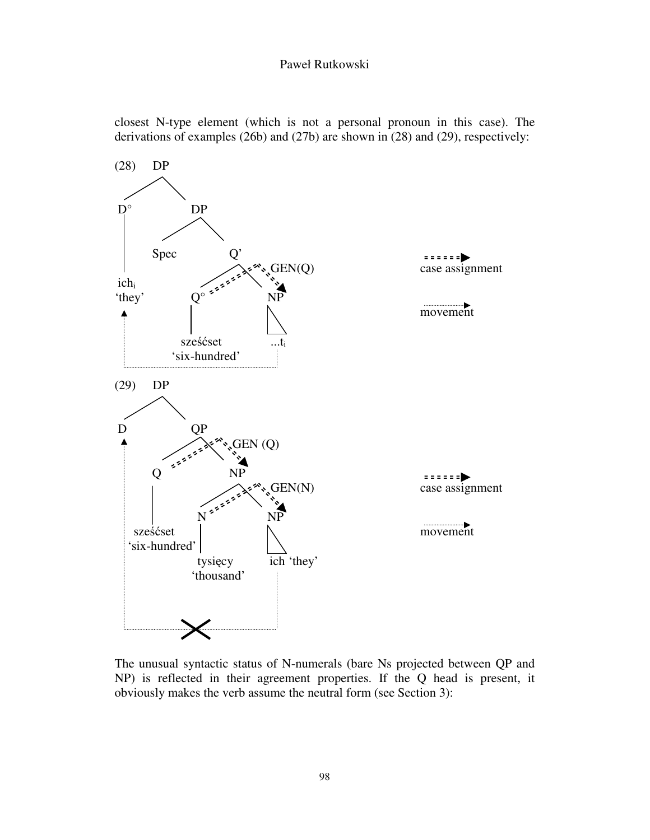closest N-type element (which is not a personal pronoun in this case). The derivations of examples (26b) and (27b) are shown in (28) and (29), respectively:



The unusual syntactic status of N-numerals (bare Ns projected between QP and NP) is reflected in their agreement properties. If the Q head is present, it obviously makes the verb assume the neutral form (see Section 3):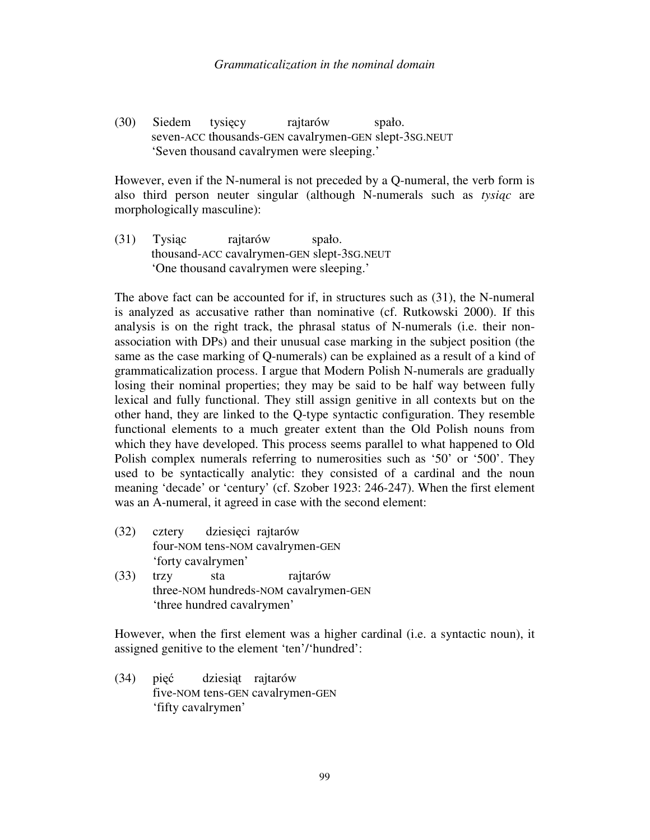(30) Siedem tysięcy rajtarów spało. seven-ACC thousands-GEN cavalrymen-GEN slept-3SG.NEUT 'Seven thousand cavalrymen were sleeping.'

However, even if the N-numeral is not preceded by a Q-numeral, the verb form is also third person neuter singular (although N-numerals such as *tysi*ą*c* are morphologically masculine):

(31) Tysiąc rajtarów spało. thousand-ACC cavalrymen-GEN slept-3SG.NEUT 'One thousand cavalrymen were sleeping.'

The above fact can be accounted for if, in structures such as (31), the N-numeral is analyzed as accusative rather than nominative (cf. Rutkowski 2000). If this analysis is on the right track, the phrasal status of N-numerals (i.e. their nonassociation with DPs) and their unusual case marking in the subject position (the same as the case marking of Q-numerals) can be explained as a result of a kind of grammaticalization process. I argue that Modern Polish N-numerals are gradually losing their nominal properties; they may be said to be half way between fully lexical and fully functional. They still assign genitive in all contexts but on the other hand, they are linked to the Q-type syntactic configuration. They resemble functional elements to a much greater extent than the Old Polish nouns from which they have developed. This process seems parallel to what happened to Old Polish complex numerals referring to numerosities such as '50' or '500'. They used to be syntactically analytic: they consisted of a cardinal and the noun meaning 'decade' or 'century' (cf. Szober 1923: 246-247). When the first element was an A-numeral, it agreed in case with the second element:

- (32) cztery dziesięci rajtarów four-NOM tens-NOM cavalrymen-GEN 'forty cavalrymen'
- (33) trzy sta rajtarów three-NOM hundreds-NOM cavalrymen-GEN 'three hundred cavalrymen'

However, when the first element was a higher cardinal (i.e. a syntactic noun), it assigned genitive to the element 'ten'/'hundred':

(34) pięć dziesiąt rajtarów five-NOM tens-GEN cavalrymen-GEN 'fifty cavalrymen'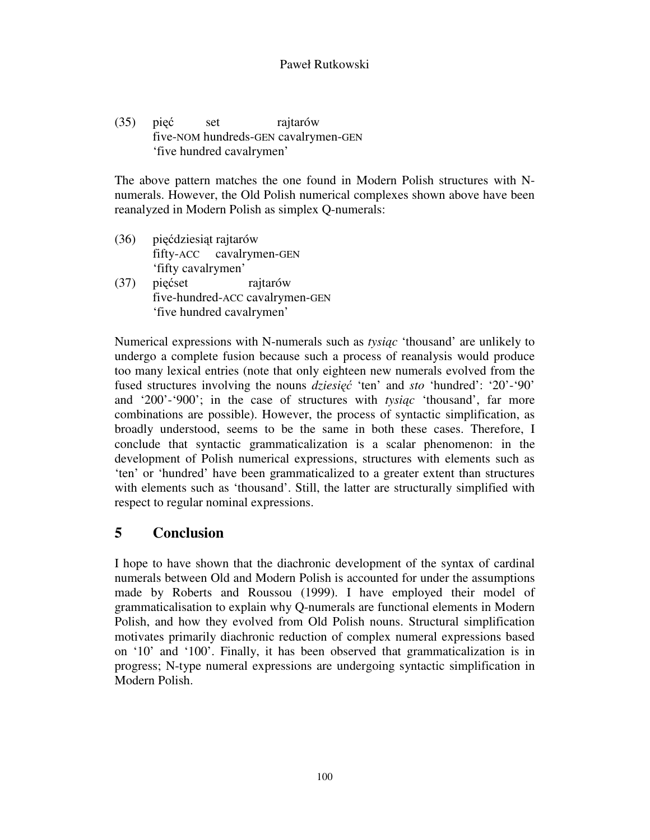(35) pięć set rajtarów five-NOM hundreds-GEN cavalrymen-GEN 'five hundred cavalrymen'

The above pattern matches the one found in Modern Polish structures with Nnumerals. However, the Old Polish numerical complexes shown above have been reanalyzed in Modern Polish as simplex Q-numerals:

- (36) pięćdziesiąt rajtarów fifty-ACC cavalrymen-GEN 'fifty cavalrymen'
- (37) pięćset rajtarów five-hundred-ACC cavalrymen-GEN 'five hundred cavalrymen'

Numerical expressions with N-numerals such as *tysi*ą*c* 'thousand' are unlikely to undergo a complete fusion because such a process of reanalysis would produce too many lexical entries (note that only eighteen new numerals evolved from the fused structures involving the nouns *dziesi*ęć 'ten' and *sto* 'hundred': '20'-'90' and '200'-'900'; in the case of structures with *tysi*ą*c* 'thousand', far more combinations are possible). However, the process of syntactic simplification, as broadly understood, seems to be the same in both these cases. Therefore, I conclude that syntactic grammaticalization is a scalar phenomenon: in the development of Polish numerical expressions, structures with elements such as 'ten' or 'hundred' have been grammaticalized to a greater extent than structures with elements such as 'thousand'. Still, the latter are structurally simplified with respect to regular nominal expressions.

# **5 Conclusion**

I hope to have shown that the diachronic development of the syntax of cardinal numerals between Old and Modern Polish is accounted for under the assumptions made by Roberts and Roussou (1999). I have employed their model of grammaticalisation to explain why Q-numerals are functional elements in Modern Polish, and how they evolved from Old Polish nouns. Structural simplification motivates primarily diachronic reduction of complex numeral expressions based on '10' and '100'. Finally, it has been observed that grammaticalization is in progress; N-type numeral expressions are undergoing syntactic simplification in Modern Polish.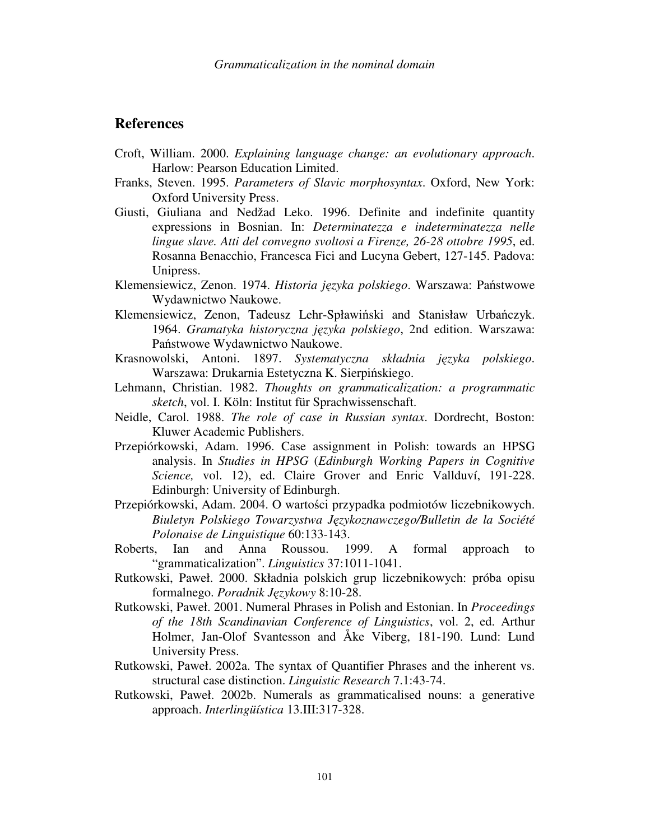### **References**

- Croft, William. 2000. *Explaining language change: an evolutionary approach*. Harlow: Pearson Education Limited.
- Franks, Steven. 1995. *Parameters of Slavic morphosyntax*. Oxford, New York: Oxford University Press.
- Giusti, Giuliana and Nedžad Leko. 1996. Definite and indefinite quantity expressions in Bosnian. In: *Determinatezza e indeterminatezza nelle lingue slave. Atti del convegno svoltosi a Firenze, 26-28 ottobre 1995*, ed. Rosanna Benacchio, Francesca Fici and Lucyna Gebert, 127-145. Padova: Unipress.
- Klemensiewicz, Zenon. 1974. *Historia j*ę*zyka polskiego*. Warszawa: Państwowe Wydawnictwo Naukowe.
- Klemensiewicz, Zenon, Tadeusz Lehr-Spławiński and Stanisław Urbańczyk. 1964. *Gramatyka historyczna j*ę*zyka polskiego*, 2nd edition. Warszawa: Państwowe Wydawnictwo Naukowe.
- Krasnowolski, Antoni. 1897. *Systematyczna składnia j*ę*zyka polskiego*. Warszawa: Drukarnia Estetyczna K. Sierpińskiego.
- Lehmann, Christian. 1982. *Thoughts on grammaticalization: a programmatic sketch*, vol. I. Köln: Institut für Sprachwissenschaft.
- Neidle, Carol. 1988. *The role of case in Russian syntax*. Dordrecht, Boston: Kluwer Academic Publishers.
- Przepiórkowski, Adam. 1996. Case assignment in Polish: towards an HPSG analysis. In *Studies in HPSG* (*Edinburgh Working Papers in Cognitive Science,* vol. 12), ed. Claire Grover and Enric Vallduví, 191-228. Edinburgh: University of Edinburgh.
- Przepiórkowski, Adam. 2004. O wartości przypadka podmiotów liczebnikowych. *Biuletyn Polskiego Towarzystwa J*ę*zykoznawczego/Bulletin de la Société Polonaise de Linguistique* 60:133-143.
- Roberts, Ian and Anna Roussou. 1999. A formal approach to "grammaticalization". *Linguistics* 37:1011-1041.
- Rutkowski, Paweł. 2000. Składnia polskich grup liczebnikowych: próba opisu formalnego. *Poradnik J*ę*zykowy* 8:10-28.
- Rutkowski, Paweł. 2001. Numeral Phrases in Polish and Estonian. In *Proceedings of the 18th Scandinavian Conference of Linguistics*, vol. 2, ed. Arthur Holmer, Jan-Olof Svantesson and Åke Viberg, 181-190. Lund: Lund University Press.
- Rutkowski, Paweł. 2002a. The syntax of Quantifier Phrases and the inherent vs. structural case distinction. *Linguistic Research* 7.1:43-74.
- Rutkowski, Paweł. 2002b. Numerals as grammaticalised nouns: a generative approach. *Interlingüística* 13.III:317-328.